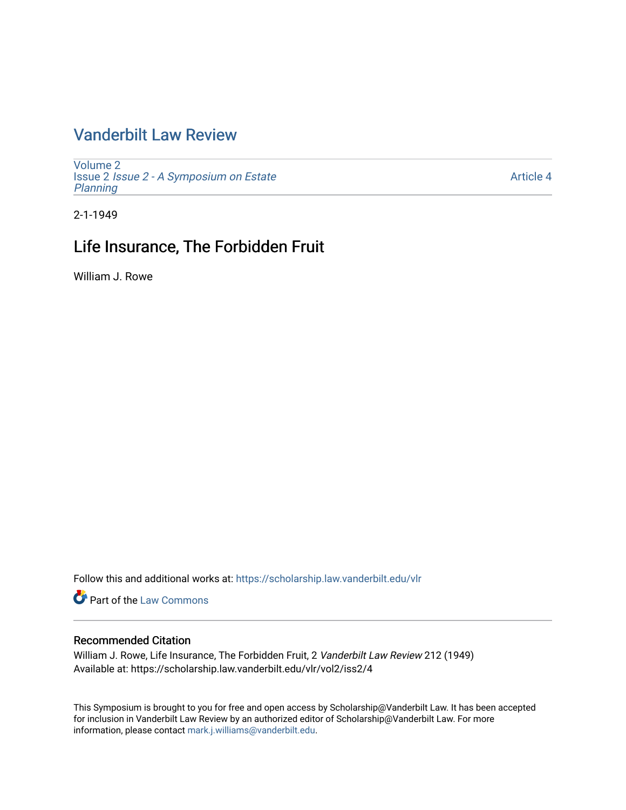# [Vanderbilt Law Review](https://scholarship.law.vanderbilt.edu/vlr)

[Volume 2](https://scholarship.law.vanderbilt.edu/vlr/vol2) Issue 2 [Issue 2 - A Symposium on Estate](https://scholarship.law.vanderbilt.edu/vlr/vol2/iss2)  **Planning** 

[Article 4](https://scholarship.law.vanderbilt.edu/vlr/vol2/iss2/4) 

2-1-1949

# Life Insurance, The Forbidden Fruit

William J. Rowe

Follow this and additional works at: [https://scholarship.law.vanderbilt.edu/vlr](https://scholarship.law.vanderbilt.edu/vlr?utm_source=scholarship.law.vanderbilt.edu%2Fvlr%2Fvol2%2Fiss2%2F4&utm_medium=PDF&utm_campaign=PDFCoverPages)

Part of the [Law Commons](http://network.bepress.com/hgg/discipline/578?utm_source=scholarship.law.vanderbilt.edu%2Fvlr%2Fvol2%2Fiss2%2F4&utm_medium=PDF&utm_campaign=PDFCoverPages)

## Recommended Citation

William J. Rowe, Life Insurance, The Forbidden Fruit, 2 Vanderbilt Law Review 212 (1949) Available at: https://scholarship.law.vanderbilt.edu/vlr/vol2/iss2/4

This Symposium is brought to you for free and open access by Scholarship@Vanderbilt Law. It has been accepted for inclusion in Vanderbilt Law Review by an authorized editor of Scholarship@Vanderbilt Law. For more information, please contact [mark.j.williams@vanderbilt.edu](mailto:mark.j.williams@vanderbilt.edu).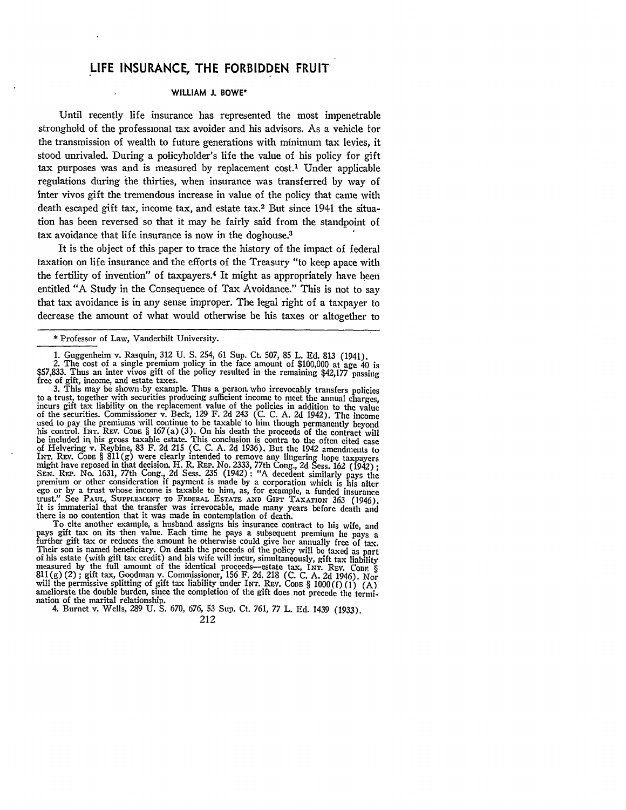## **LIFE INSURANCE, THE FORBIDDEN FRUIT**

## **WILLIAM J. BOWE\***

Until recently life insurance has represented the most impenetrable stronghold of the professional tax avoider and his advisors. As a vehicle for the transmission of wealth to future generations with minimum tax levies, it stood unrivaled. During a policyholder's life the value of his policy for gift tax purposes was and is measured by replacement cost.' Under applicable regulations during the thirties, when insurance was transferred by way of inter vivos gift the tremendous increase in value of the policy that came with death escaped gift tax, income tax, and estate tax.2 But since 1941 the situation has been reversed so that it may be fairly said from the standpoint of tax avoidance that life insurance is now in the doghouse.<sup>3</sup>

It is the object of this paper to trace the history of the impact of federal taxation on life insurance and the efforts of the Treasury "to keep apace with the fertility of invention" of taxpayers.4 It might as appropriately have been entitled "A Study in the Consequence of Tax Avoidance." This is not to say that tax avoidance is in any sense improper. The legal right of a taxpayer to decrease the amount of what would otherwise be his taxes or altogether to

2. The cost of a single premium policy in the face amount of \$100,000 at age 40 is \$57,833. Thus an inter vivos gift of the policy resulted in the remaining \$42,177 passing free of gift, income, and estate taxes.

**3.** This may be shown **by** example. Thus a person who irrevocably transfers policies to a trust, together with securities producing sufficient income to meet the annual charges, incurs gift tax liability on the replacement value of the policies in addition to the value of the securities. Commissioner v. Beck, 129 F. 2d 243 (C. **C. A.** 2d 1942). The income used to pay the premiums will continue to be taxable' to him though permanently beyond his control. **INT. REV. CODE** § 167(a) (3). On his death the proceeds of the contract will be included in his gross taxable estate. This conclusion is contra to the often cited case<br>of Helvering v. Reybine, 83 F. 2d 215 (C. C. A. 2d 1936). But the 1942 amendments to<br>INT. REV. CoDE § 811(g) were clearly intended **SEN.** REP. No. 1631, 77th Cong., 2d Sess. **235** (1942): **"A** decedent similarly pays the premium or other consideration if payment is made **by** a corporation which is his alter ego or **by** a trust whose income is taxable to him, as, for example, a funded insurance trust." See PAUL, SUPPLEMENT TO FEDERAL ESTATE AND GIFT TAXATION 363 (1946).<br>It is immaterial that the transfer was irrevocable, made many years before death and there is no contention that it was made in contemplation of death.

To cite another example, a husband assigns his insurance contract to his wife, and pays gift tax on its then value. Each time he pays a subsequent premium he pays a pays gift tax on its then value. Each time he pays a subsequent premium he pays a<br>further gift tax or reduces the amount he otherwise could give her annually free of tax.<br>Their son is named beneficiary. On death the procee of his estate (with gift tax credit) and his wife will incur, simultaneously, gift tax liability measured by the full amount of the identical proceeds—estate tax, **INT.** REV. Cone § 811(g) (2) ; gift tax, Goodman v. Commissioner, 156 F. **2d. 218** (C. C. **A.** 2d 1946). Nor will the permissive splitting of gift tax liability under **INT.** REV. **CODE** § 1000(f) (1) (A) ameliorate the double burden, since the completion of the gift does not precede the termination of the marital relationship.<br>4. Burnet v. Wells, 289 **U. S. 670, 676, 53** Sup. Ct. 761, 77 L. Ed. 1439 (1933).

212

<sup>\*</sup> Professor of Law, Vanderbilt University.

**<sup>1.</sup>** Guggenheim v. Rasquin, 312 U. **S.** 254, 61 Sup. Ct. 507, **85** L. **Ed.** 813 (1941).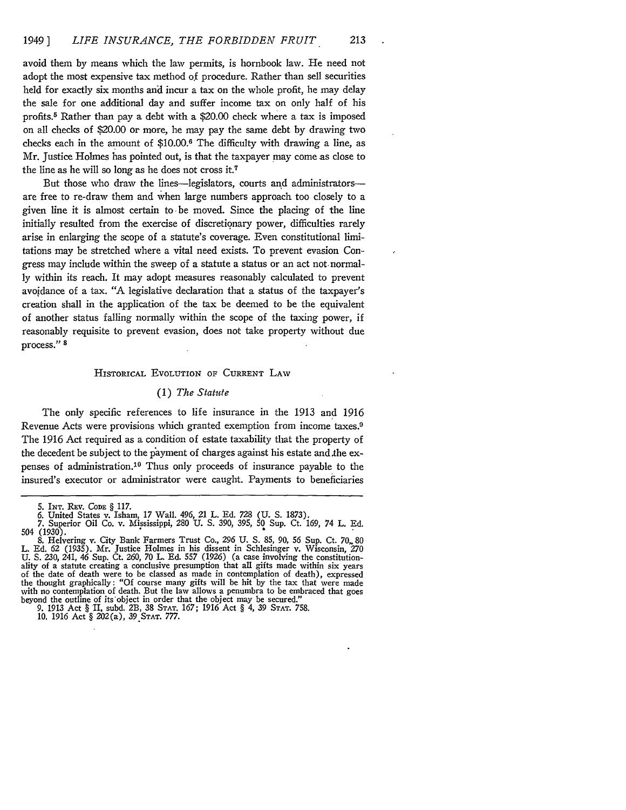avoid them by means which the law permits, is hornbook law. He need not adopt the most expensive tax method of procedure. Rather than sell securities held for exactly six months and incur a tax on the whole profit, he may delay the sale for one additional day and suffer income tax on only half of his profits.5 Rather than pay a debt with a \$20.00 check where a tax is imposed on all checks of \$20.00 or more, he may pay the same debt by drawing two checks each in the amount of \$10.00.<sup>6</sup> The difficulty with drawing a line, as Mr. Justice Holmes has pointed out, is that the taxpayer may come as close to the line as he will so long as he does not cross it.<sup>7</sup>

But those who draw the lines—legislators, courts and administrators are free to re-draw them and when large numbers approach too closely to a given line it is almost certain to **-be** moved. Since the placing of the line initially resulted from the exercise of discretionary power, difficulties rarely arise in enlarging the scope of a statute's coverage. Even constitutional limitations may be stretched where a vital need exists. To prevent evasion Congress may include within the sweep of a statute a status or an act not. normally within its reach. It may adopt measures reasonably calculated to prevent avoidance of a tax. "A legislative declaration that a status of the taxpayer's creation shall in the application of the tax be deemed to be the equivalent of another status falling normally within the scope of the taxing power, if reasonably requisite to prevent evasion, does not take property without due process." **8**

## HISTORICAL EVOLUTION OF CURRENT LAW

## (1) *The Statute*

The only specific references to life insurance in the 1913 and 1916 Revenue Acts were provisions which granted exemption from income taxes. The 1916 Act required as a condition of estate taxability that the property of the decedent be subject to the payment of charges against his estate and .the expenses of administration.<sup>10</sup> Thus only proceeds of insurance payable to the insured's executor or administrator were caught. Payments to beneficiaries

**<sup>5.</sup>** INT. REV. CODE § 117.

<sup>6.</sup> United States v. Isham, 17 Wall. 496, 21 L. **Ed.** 728 (U. S. 1873).

*<sup>7.</sup>* Superior Oil Co. v. Mississippi, 280 U. S. 390, 395, 50 Sup. Ct. 169, 74 L. Ed. 504 (1930).

<sup>8.</sup> Helvering v. City Bank Farmers Trust Co., 296 U. **S.** 85, 90, *56* Sup. Ct. 70,, 80 L. Ed. 62 (1935). Mr. Justice Holmes in his dissent in Schlesinger v. Wisconsin, 270 U. **S.** 230, 241, 46 Sup. Ct. *260,* 70 L. Ed. **557** (1926) (a case involving the constitution-ality of a statute creating a conclusive presumption that all gifts made within six years of the date of death were to be classed as made in contemplation of death), expressed the thought graphically: "Of course many gifts will be hit by the tax that were made with no contemplation of death. But the law allows a penumbra to be embraced that goes beyond the outline of its object in order that the object may be secured." 9. 1913 Act **g** II, subd. 2B, 38 **STAT.** 167; 1916 Act § 4, 39 **STAT.** 758.

<sup>10. 1916</sup> Act § 202(a), 39 **SxAT.** 777.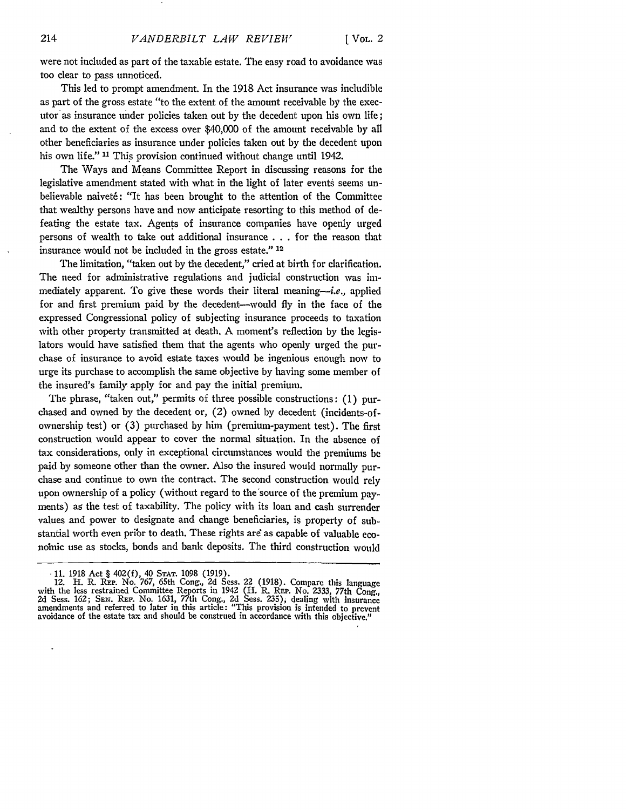were not included as part of the taxable estate. The easy road to avoidance was too **clear** to pass unnoticed.

This led to prompt amendment. In the 1918 Act insurance was includible as part of the gross estate "to the extent of the amount receivable **by** the executor as insurance under policies taken out **by** the decedent upon his own life; and to the extent of the excess over \$40,000 of the amount receivable **by** all other beneficiaries as insurance under policies taken out **by** the decedent upon his own life."<sup>11</sup> This provision continued without change until 1942.

The Ways and Means Committee Report in discussing reasons for the legislative amendment stated with what in the light of later events seems **un**believable naiveté: "It has been brought to the attention of the Committee that wealthy persons have and now anticipate resorting to this method of **de**feating the estate tax. Agents of insurance companies have openly urged persons of wealth to take out additional insurance **.. .**for the reason that insurance would not be included in the gross estate." 12

The limitation, "taken out **by** the decedent," cried at birth for clarification. The need for administrative regulations and judicial construction was immediately apparent. To give these words their literal meaning-*i.e.*, applied for and first premium paid **by** the decedent-would **fly** in the face of the expressed Congressional policy of subjecting insurance proceeds to taxation with other property transmitted at death. **A** moment's reflection **by** the legislators would have satisfied them that the agents who openly urged the **pur**chase of insurance to avoid estate taxes would be ingenious enough now to urge its purchase to accomplish the same objective **by** having some member of the insured's family apply for and pay the initial premium.

The phrase, "taken out," permits of three possible constructions: (1) purchased and owned **by** the decedent or, (2) owned **by** decedent (incidents-ofownership test) or **(3)** purchased **by** him (premium-payment test). The first construction would appear to cover the normal situation. In the absence of tax considerations, only in exceptional circumstances would the premiums **be** paid **by** someone other than the owner. Also the insured would normally purchase and continue to own the contract. The second construction would rely upon ownership of a policy (without regard to the'source of the premium payments) as the test of taxability. The policy with its loan and cash surrender values and power to designate and change beneficiaries, is property of substantial worth even prior to death. These rights are as capable of valuable econoimic use as stocks, bonds and bank deposits. The third construction would

**<sup>111.</sup>** 1918 Act § 402(f), 40 **STAT.** 1098 (1919).

<sup>12.</sup> H. R. **REP.** No. 767, 65th Cong., 2d Sess. 22 (1918). Compare this language with the less restrained Committee Reports in 1942 (H. R. REP. No. **2333,** 77th Cong., 2d Sess. 162; **SEN.** REP. No. 1631, 77th Cong., 2d Sess. **235),** dealing with insurance amendments and referred to later in this article: "This provision is intended to prevent avoidance of the estate tax and should be construed in accordance with this objective."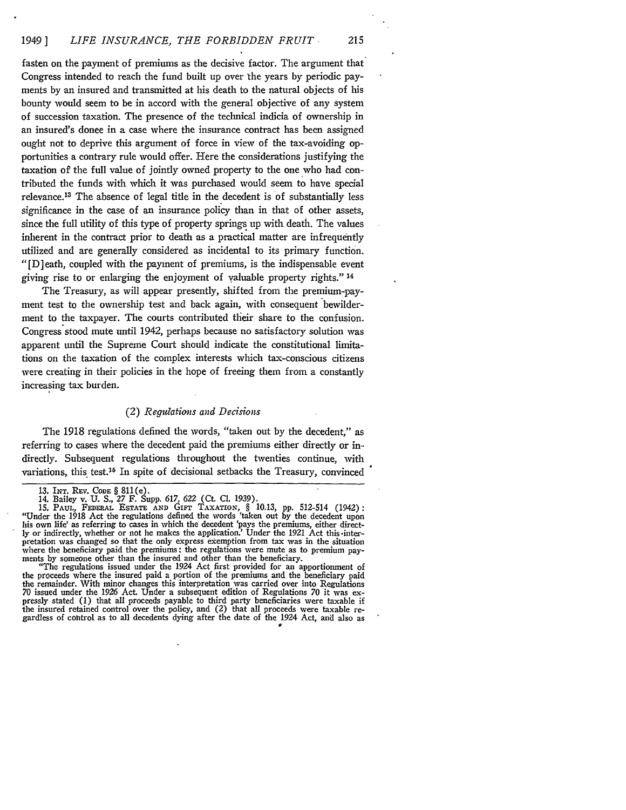fasten on the payment of premiums as the decisive factor. The argument that Congress intended to reach the fund built up over the years by periodic payments by an insured and transmitted at his death to the natural objects of his bounty would seem to be in accord with the general objective of any system of succession taxation. The presence of the technical indicia of ownership in an insured's donee in a case where the insurance contract has been assigned ought not to deprive this argument of force in view of the tax-avoiding opportunities a contrary rule would offer. Here the considerations justifying the taxation of the full value of jointly owned property to the one who had contributed the funds with which it was purchased would seem to have special relevance. 13 The absence of legal title in the decedent is of substantially less significance in the case of an insurance policy than in that of other assets, since the full utility of this type of property springs up with death. The values inherent in the contract prior to death as a practical matter are infrequently utilized and are generally considered as incidental to its primary function. "[D] eath, coupled with the payment of premiums, is the indispensable event giving rise to or enlarging the enjoyment of valuable property rights." 14

The Treasury, as will appear presently, shifted from the premium-payment test to the ownership test and back again, with consequent bewilderment to the taxpayer. The courts contributed their share to the confusion. Congress stood mute until 1942, perhaps because no satisfactory solution was apparent until the Supreme Court should indicate the constitutional limitations on the taxation of the complex interests which tax-conscious citizens were creating in their policies in the hope of freeing them from a constantly increasing tax burden.

### (2) *Regulations and Decisions*

The 1918 regulations defined the words, "taken out by the decedent," as referring to cases where the decedent paid the premiums either directly or indirectly. Subsequent regulations throughout the twenties continue, with variations, this test.15 In spite of decisional setbacks the Treasury, convinced

The regulations issued under the 1924 Act first provided for an apportionment of the proceeds where the insured paid a portion of the premiums and the beneficiary paid the remainder. With minor changes this interpretation was carried over into Regulations 70 issued under the 1926 Act. Under a subsequent edition of Regulations 70 it was expressly stated (1) that all proceeds payable to third party beneficiaries were taxable if the insured retained control over the policy, and (2) that all proceeds were taxable regardless of control as to all decedents dying after the date of the 1924 Act, and also as

*<sup>13.</sup>* INT. REV. **CODE** § 811(e).

<sup>14.</sup> Bailey v. U. S., 27 F. Supp. 617, 622 (Ct. **Cl.** 1939).

<sup>15.</sup> PAUL, FEDERAL ESTATE AND GIFT TAXATION, § 10.13, pp. 512-514 (1942):<br>"Under the 1918 Act the regulations defined the words 'taken out by the decedent upon his own life' as referring to cases in which the decedent 'pays the premiums, either directly or indirectly, whether or not he makes the application.' Under the 1921 Act this -interpretation was changed so that the only express exemption from tax was in the situation where the beneficiary paid the premiums : the regulations were mute as to premium payments by someone other than the insured and other than the beneficiary.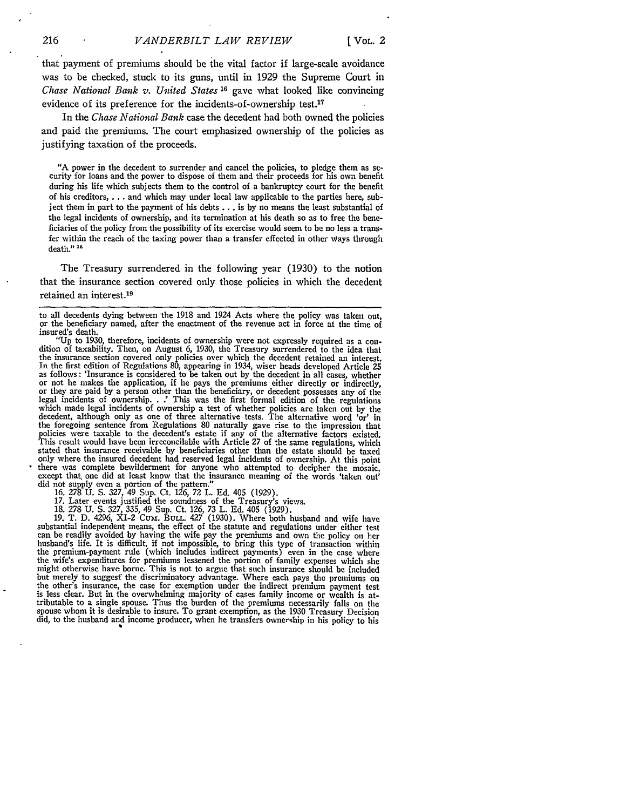that payment of premiums should be the vital factor if large-scale avoidance was to be checked, stuck to its guns, until in 1929 the Supreme Court in Chase *National Bank v. United States 16* gave what looked like convincing evidence of its preference for the incidents-of-ownership test.17

In the *Chase National Bank* case the decedent had both owned the policies and paid the premiums. The court emphasized ownership of the policies as justifying taxation of the proceeds.

"A power in the decedent to surrender and cancel the policies, to pledge them as se- curity for loans and the power to dispose of them and their proceeds for his own benefit during his life which subjects them to the control of a bankruptcy court for the benefit of his creditors **....** and which may under local law applicable to the parties here, subject them in part to the payment of his debts **...** is by no means the least substantial of the legal incidents of ownership, and its termination at his death so as to free the beneficiaries of the policy from the possibility of its exercise would seem to be no less a transfer within the reach of the taxing power than a transfer effected in other Ways through death." **"**

The Treasury surrendered in the following year (1930) to the notion that the insurance section covered only those policies in which the decedent retained an interest.<sup>19</sup>

to all decedents dying between the 1918 and 1924 Acts where the policy was taken out, or the beneficiary named, after the enactment of the revenue act in force at the time of insured's death.

"Up to 1930, therefore, incidents of ownership were not expressly required as a con-<br>dition of taxability. Then, on August 6, 1930, the Treasury surrendered to the idea that the insurance section covered only policies over which the decedent retained an interest. In the first edition of Regulations 80, appearing in 1934, wiser heads developed Article 25 as follows: 'Insurance is considered to be taken out by the decedent in all cases, whether<br>or not he makes the application, if he pays the premiums either directly or indirectly,<br>or they are paid by a person other than the which made legal incidents of ownership a test of whether policies are taken out by the decedent, although only as one of three alternative tests. The alternative word 'or' in the foregoing sentence from Regulations 80 naturally gave rise to the impression that policies were taxable to the decedent's estate if any of the alternative factors existed. This result would have been irreconcilable with Article 27 of the same regulations, which stated that insurance receivable by beneficiaries other than the estate should be taxed only where the insured decedent had reserved legal incidents of ownership. At this point there was complete bewilderment for anyone who attempted to decipher the mosaic, except that one did at least know that the insurance meaning of the words 'taken out' did not supply even a portion of the pattern." 16. 278 U. S. 327, 49 Sup. Ct. 126, 72 L. Ed. 405 (1929).

17. Later events justified the soundness of the Treasury's views.

18. 278 U. S. 327, 335, 49 Sup. Ct. 126, 73 L. Ed. 405 (1929).

19. T. **D.** 4296, XI-2 Cum. BULL. 427 (1930). Where both husband and wife have substantial independent means, the effect of the statute and regulations under either test can be readily avoided **by** having the wife pay the premiums and own the policy on her husband's life. It is difficult, if not impossible, to bring this type of transaction within the premium-payment rule (which includes indirect payments) even in the case where the wife's expenditures for premiums lessened the portion of family expenses which she might otherwise have borne. This is not to argue that such insurance should be included but merely to suggest the discriminatory advantage. Where each pays the premiums on the other's insurance, the case for exemption under the indirect premium payment test is less clear. But in the overwhelming majority of cases family income or wealth is attributable to a single spouse. Thus the burden of the premiums necessarily falls on the spouse whom it is desirable to insure. To grant exemption, as the 1930 Treasury Decision did, to the husband and income producer, when he transfers owner-hip in his policy to his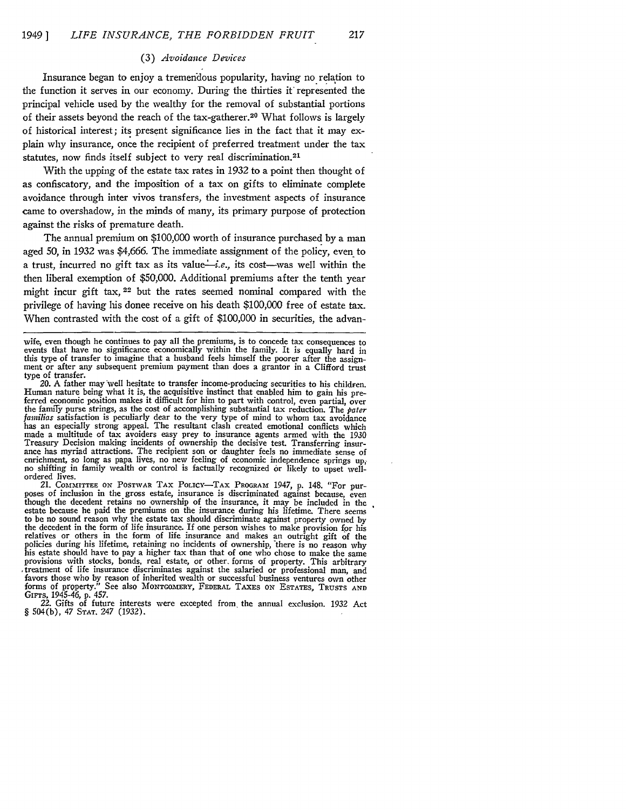## (3) *Avoidance Devices*

Insurance began to enjoy a tremendous popularity, having no relation to the function it serves in our economy. During the thirties it represented the principal vehicle used by the wealthy for the removal of substantial portions of their assets beyond the reach of the tax-gatherer.<sup>20</sup> What follows is largely of historical interest; its present significance lies in the fact that it may explain why insurance, once the recipient of preferred treatment under the tax statutes, now finds itself subject to very real discrimination. <sup>21</sup>

With the upping of the estate tax rates in 1932 to a point then thought of as confiscatory, and the imposition of a tax on gifts to eliminate complete avoidance through inter vivos transfers, the investment aspects of insurance came to overshadow, in the minds of many, its primary purpose of protection against the risks of premature death.

The annual premium on \$100,000 worth of insurance purchased by a man aged 50, in 1932 was \$4,666. The immediate assignment of the policy, even to a trust, incurred no gift tax as its value-i.e., its cost--was well within the then liberal exemption of \$50,000. Additional premiums after the tenth year might incur gift tax, 22 but the rates seemed nominal compared with the privilege of having his donee receive on his death \$100,000 free of estate tax. When contrasted with the cost of a gift of \$100,000 in securities, the advan-

wife, even though he continues to pay all the premiums, is to concede tax consequences to events that have no significance economically within the family. It is equally hard in this type of transfer to imagine that a husband feels himself the poorer after the assignment or after any subsequent premium payment than does a grantor in a Clifford trust type of transfer.

20. A father may well hesitate to transfer income-producing securities to his children. Human nature being what it is, the acquisitive instinct that enabled him to gain his preferred economic position makes it difficult for him to part with control, even partial, over the family purse strings, as the cost of accomplishing substantial tax reduction. The *pater Jamilias* satisfaction is peculiarly dear to the very type of mind to whom tax avoidance has an especially strong appeal. The resultant clash created emotional conflicts which made a multitude of tax avoiders easy prey to insurance agents armed with the 1930 Treasury Decision making incidents of ownership the decisive test. Transferring insurance has myriad attractions. The recipient son or daughter feels no immediate sense of enrichment, so long as papa lives, no new feeling of economic independence springs up, no shifting in family wealth or control is factually recognized or likely to upset wellordered lives.<br>21. COMMITTEE ON POSTWAR TAX POLICY-TAX PROGRAM 1947, p. 148. "For pur-

poses of inclusion in the gross estate, insurance is discriminated against because, even though the decedent retains no ownership of the insurance, it may be included in the estate because he paid the premiums on the insurance during his lifetime. There seems to be no sound reason why the estate tax should discriminate against property owned by the decedent in the form of life insurance. **If** one person wishes to make provision for his relatives or others in the form of life insurance and makes an outright gift of the policies during his lifetime, retaining no incidents of ownership, 'there is no reason why his estate should have to pay a higher tax than that of one who chose to make the same provisions with stocks, bonds, real estate, or other, forms of property. This arbitrary treatment of life insurance discriminates against the salaried or professional man, and favors those who by reason of inherited wealth or successful business ventures own other forms of property." See also **MONTGOMERY,** FEDERAL TAXES **ON** ESTATES, **TRUSTS AND**

GiFTs, 1945-46, p. 457. 22. Gifts of future interests were excepted from the annual exclusion. 1932 Act § 504(b), 47 STAT. 247 **(1932).**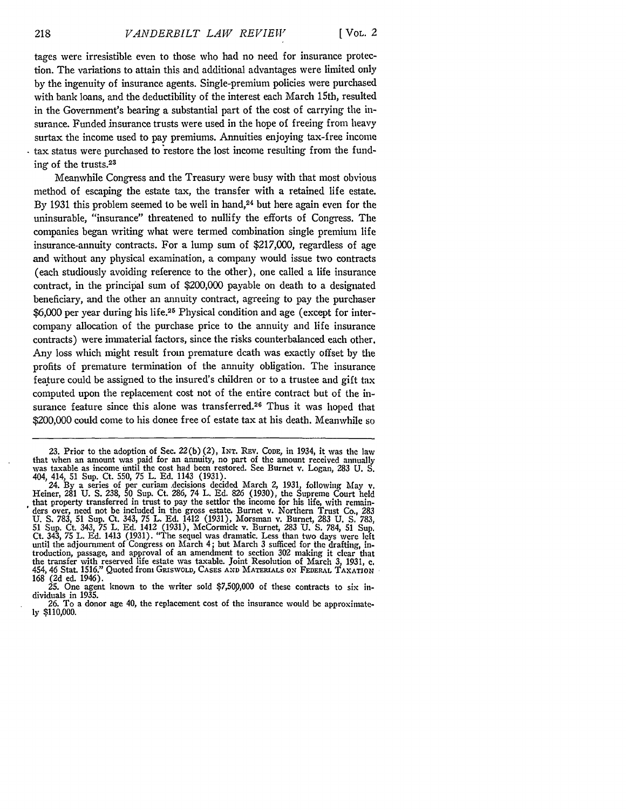**[** VOL. 2

tages were irresistible even to those who had no need for insurance protection. The variations to attain this and additional advantages were limited only **by** the ingenuity of insurance agents. Single-premium policies were purchased with bank loans, and the deductibility of the interest each March 15th, resulted in the Government's bearing a substantial part of the cost of carrying the insurance. Funded insurance trusts were used in the hope of freeing from heavy surtax the income used to pay premiums. Annuities enjoying tax-free income tax status were purchased to restore the lost income resulting from the funding of the trusts.<sup>23</sup>

Meanwhile Congress and the Treasury were busy with that most obvious method of escaping the estate tax, the transfer with a retained life estate. By 1931 this problem seemed to be well in hand,<sup>24</sup> but here again even for the uninsurable, "insurance" threatened to nullify the efforts of Congress. The companies began writing what were termed combination single premium life insurance-annuity contracts. For a lump sum of \$217,000, regardless of age and without any physical examination, a company would issue two contracts (each studiously avoiding reference to the other), one called a life insurance contract, in the principal sum of \$200,000 payable on death to a designated beneficiary, and the other an annuity contract, agreeing to pay the purchaser \$6,000 per year during his life.25 Physical condition and age (except for intercompany allocation of the purchase price to the annuity and life insurance contracts) were immaterial factors, since the risks counterbalanced each other. Any loss which might result from premature death was exactly offset **by** the profits of premature termination of the annuity obligation. The insurance feature could be assigned to the insured's children or to a trustee and gift tax computed upon the replacement cost not of the entire contract but of the insurance feature since this alone was transferred.<sup>26</sup> Thus it was hoped that \$200,000 could come to his donee free of estate tax at his death. Meanwhile so

**<sup>23.</sup>** Prior to the adoption of Sec. 22(b) (2), INT. REv. CODE, in 1934, it was the law that when an amount was paid for an annuity, no part of the amount received annually was taxable as income until the cost had been restored. See Burnet v. Logan, 283 **U. S.** 404, 414, 51 Sup. Ct. 550, 75 L. **Ed.** 1143 (1931).

<sup>24.</sup> **By** a series of per curiam decisions decided March 2, 1931, following May v. Heiner, 281 **U. S.** 238, 50 Sup. Ct. 286, 74 L. **Ed.** 826 (1930), the Supreme Court held that property transferred in trust to pay the settlor the income for his life, with remainders over, need not be included in the gross estate. Burnet v. Northern Trust Co., 283 **U. S.** 783, 51 Sup. Ct. 343, 75 L. **Ed.** 1412 (1931), Morsman v. Burnet, 283 U. **S.** 783, 51 Sup. **Ct.** 343, 75 L. **Ed.** 1412 (1931), McCormick v. Burnet, 283 **U. S.** 784, 51 Sup. Ct. 343, 75 L. **Ed.** 1413 (1931). "The sequel was dramatic. Less than two days were left until the adjournment of Congress on March 4; but March 3 sufficed for the drafting, introduction, passage, and approval of an amendment to section 302 making it clear that the transfer with reserved life estate was taxable. Joint Resolution of March 3, 1931, e. 454, 46 Stat. 1516." Quoted from GiusWoL, **CASES AND MATERIALS ON** FEDERAL **TAXATION** 168 (2d ed. 1946). **25.** One agent known to the writer sold \$7,509,000 of these contracts to six in-

dividuals in **1935.**

**<sup>26.</sup>** To a donor age 40, the replacement cost of the insurance would be approximately \$110,000.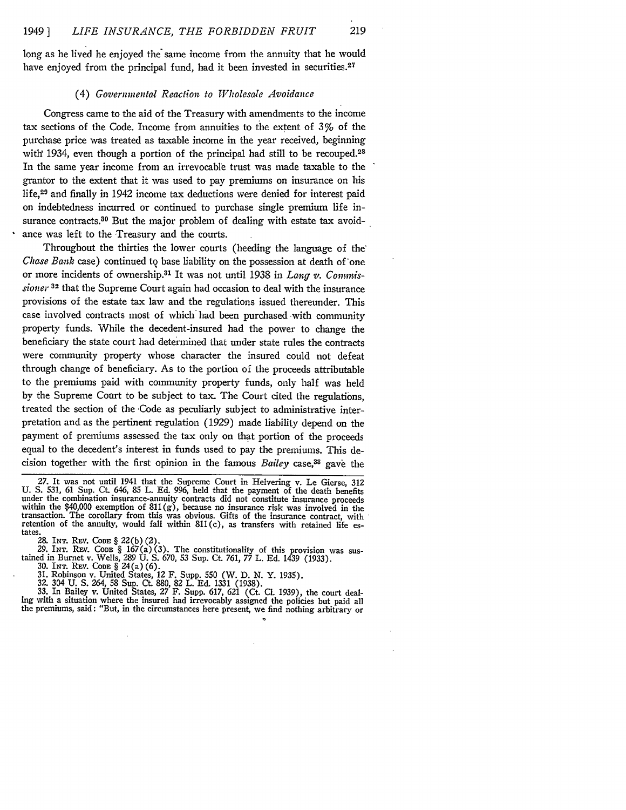long as he lived he enjoyed the same income from the annuity that he would have enjoyed from the principal fund, had it been invested in securities. $27$ 

#### (4) *Governmental Reaction to Wholesale Avoidance*

Congress came to the aid of the Treasury with amendments to the income tax sections of the Code. Income from annuities to the extent of 3% of the purchase price was treated as taxable income in the year received, beginning with 1934, even though a portion of the principal had still to be recouped.<sup>28</sup> In the same year income from an irrevocable trust was made taxable to the grantor to the extent that it was used to pay premiums on insurance on his life,29 and finally in 1942 income tax deductions were denied for interest paid on indebtedness incurred or continued to purchase single premium life insurance contracts.<sup>30</sup> But the major problem of dealing with estate tax avoidance was left to the Treasury and the courts.

Throughout the thirties the lower courts (heeding the language of the *Chase Bank* case) continued to base liability on the possession at death of one or more incidents of ownership. 31 It was not until 1938 in *Lang v. Conmnissioner 3 <sup>2</sup>*that the Supreme Court again had occasion to deal with the insurance provisions of the estate tax law and the regulations issued thereunder. This case involved contracts most of which had been purchased -with community property funds. While the decedent-insured had the power to change the beneficiary the state court had determined that under state rules the contracts were community property whose character the insured could not defeat through change of beneficiary. As to the portion of the proceeds attributable to the premiums paid with community property funds, only half was held by the Supreme Coart to be subject to tax. The Court cited the regulations, treated the section of the Code as peculiarly subject to administrative interpretation and as the pertinent regulation (1929) made liability depend on the payment of premiums assessed the tax only on that portion of the proceeds equal to the decedent's interest in funds used to pay the premiums. This decision together with the first opinion in the famous *Bailey* case,33 gave the

30. **I T.** REv. **CODE** § 24(a) (6). 31. Robinson v. United States, 12 F. Supp. 550 (W. D. N. Y. 1935).

32. 304 U. **S.** *264,* 58 Sup. Ct. 880, 82 L. **Ed.** 1331 (1938). 33. In Bailey v. United States, 27 F. Supp. 617, 621 (Ct. **Cl.** 1939), the court dealing with a situation where the insured had irrevocably assigned the policies but paid all the premiums, said: "But, in the circumstances here present, we find nothing arbitrary or

<sup>27.</sup> It was not until 1941 that the Supreme Court in Helvering v. Le Gierse, 312 U. **S.** 531, 61 Sup. Ct. 646, 85 L. Ed. 996, held that the payment of the death benefits under the combination insurance-annuity contracts did not constitute insurance proceeds within the  $$40,000$  exemption of  $811(g)$ , because no insurance risk was involved in the transaction. The corollary from this was obvious. Gifts of the insurance contract, with retention of the annuity, would fall within 811(c), as transfers with retained life es-<br>tates.<br>28. INT. REV. CODE § 22(b)(2).

<sup>29.</sup> INT. REV. Code § 167(a) (3). The constitutionality of this provision was sus-<br>tained in Burnet v. Wells, 289 U. S. 670, 53 Sup. Ct. 761, 77 L. Ed. 1439 (1933).<br>30. INT. REV. Cone § 24(a) (6).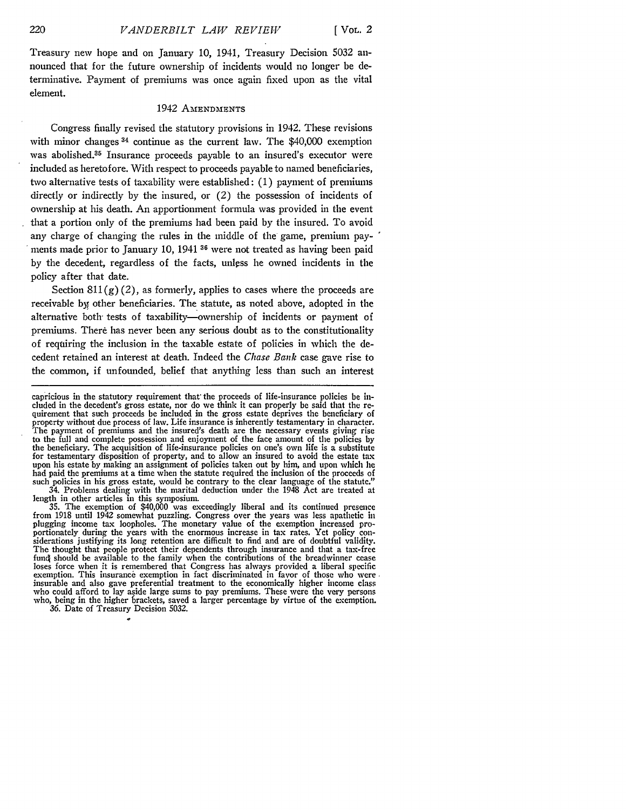Treasury new hope and on January 10, 1941, Treasury Decision 5032 announced that for the future ownership of incidents would no longer be determinative. Payment of premiums was once again fixed upon as the vital element.

## 1942 AMENDMENTS

Congress finally revised the statutory provisions in 1942. These revisions with minor changes 34 continue as the current law. The \$40,000 exemption was abolished.<sup>35</sup> Insurance proceeds payable to an insured's executor were included as heretofore. With respect to proceeds payable to named beneficiaries, two alternative tests of taxability were established: (1) payment of premiums directly or indirectly by the insured, or (2) the possession of incidents of ownership at his death. An apportionment formula was provided in the event that a portion only of the premiums had been paid by the insured. To avoid any charge of changing the rules in the middle of the game, premium payments made prior to January 10, 1941 **36** were not treated as having been paid by the decedent, regardless of the facts, unless he owned incidents in the policy after that date.

Section  $811(g)(2)$ , as formerly, applies to cases where the proceeds are receivable **by** other beneficiaries. The statute, as noted above, adopted in the alternative both tests of taxability-ownership of incidents or payment of premiums. There has never been any serious doubt as to the constitutionality of requiring the inclusion in the taxable estate of policies in which the decedent retained an interest at death. Indeed the *Chase Bank* case gave rise to the common, if unfounded, belief that anything less than such an interest

34. Problems dealing with the marital deduction under the 1948 Act are treated at length in other articles in this symposium. 35. The exemption of \$40,000 was exceedingly liberal and its continued presence

capricious in the statutory requirement that' the proceeds of life-insurance policies **be in**cluded in the decedent's gross estate, nor do we think it can properly be said that the requirement that such proceeds be included in the gross estate deprives the beneficiary of property without due process of law. Life insurance is inherently testamentary **in** character. The payment of premiums and the insured's death are the necessary events giving rise to the full and complete possession and enjoyment of the face amount of the policies by the beneficiary. The acquisition of life-insurance policies on one's own life is a substitute for testamentary disposition of property, and to allow an insured to avoid the estate tax upon his estate by making an assignment of policies taken out by him, and upon which lie had paid the premiums at a time when the statute required the inclusion of the proceeds of such policies in his gross estate, would be contrary to the clear language of the statute."

from 1918 until 1942 somewhat puzzling. Congress over the years was less apathetic in plugging income tax loopholes. The monetary value of the exemption increased proportionately during the years with the enormous increase in tax rates. Yet policy considerations justifying its long retention are difficult to find and are of doubtful validity. The thought that people protect their dependents through insurance and that a tax-free fund should be available to the family when the contributions of the breadwinner cease loses force when it is remembered that Congress has always provided a liberal specific exemption. This insurance exemption in fact disc insurable and also gave preferential treatment to the economically higher income class who could afford to lay aside large sums to pay premiums. These were the very persons who, being in the higher frackets, saved a larger percentage **by** virtue of the exemption. **36.** Date of Treasury Decision 5032.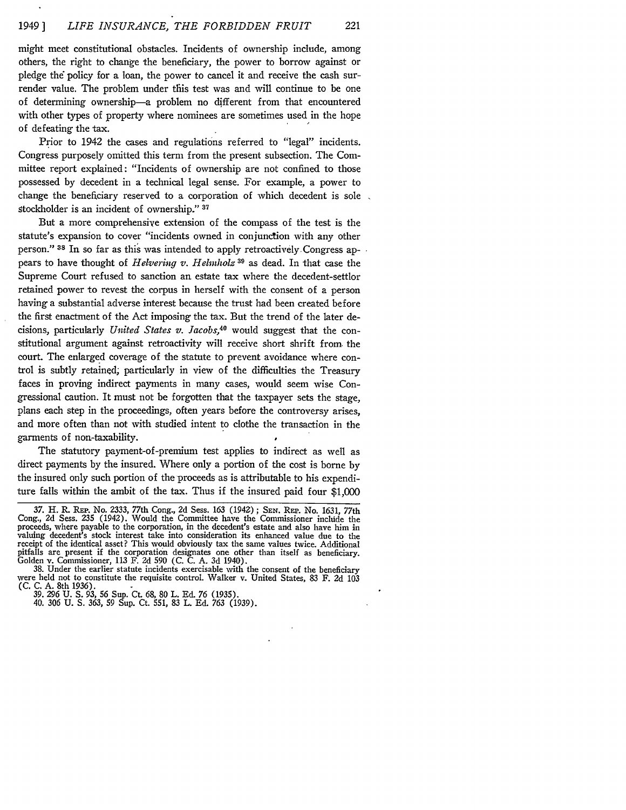might meet constitutional obstacles. Incidents of ownership include, among others, the right to change the beneficiary, the power to borrow against or pledge the policy for a loan, the power to cancel it and receive the cash surrender value. The problem under this test was and will continue to be one of determining ownership-a problem no different from that encountered with other types of property where nominees are sometimes used in the hope of defeating the tax.

Prior to 1942 the cases and regulations referred to "legal" incidents. Congress purposely omitted this term from the present subsection. The Committee report explained: "Incidents of ownership are not confined to those possessed by decedent in a technical legal sense. For example, a power to change the beneficiary reserved to a corporation of which decedent is sole stockholder is an incident of ownership." 37

But a more comprehensive extension of the compass of the test is the statute's expansion to cover "incidents owned in conjunction with any other person." **38** In so far as this was intended to apply retroactively Congress appears to have thought of *Helvering v. Helmholz 39* as dead. In that case the Supreme Court refused to sanction an estate tax where the decedent-settlor retained power to revest the corpus in herself with the consent of a person having a substantial adverse interest because the trust had been created before the first enactment of the Act imposing the tax. But the trend of the later decisions, particularly *United States v. Jacobs,40* would suggest that the constitutional argument against retroactivity will receive short shrift from, the court. The enlarged coverage of the statute to prevent avoidance where control is subtly retained, particularly in view of the difficulties the Treasury faces in proving indirect payments in many cases, would seem wise Congressional caution. It must not be forgotten that the taxpayer sets the stage, plans each step in the proceedings, often years before the controversy arises, and more often than not with studied intent to clothe the transaction in the garments of non-taxability.

The statutory payment-of-premium test applies to indirect as well as direct payments **by** the insured. Where only a portion of the cost is borne **by** the insured only such portion of the proceeds as is attributable to his expenditure falls within the ambit of the tax. Thus if the insured paid four \$1,000

**<sup>37.</sup>** H. R. REP. No. 2333, 77th Cong., 2d Sess. 163 (1942) **; SEN. REP.** No. 1631, 77th Cong., 2d Sess. 235 (1942). Would the Committee have the Commissioner inchide the proceeds, where payable to the corporation, in the decedent's estate and also have him in valuing decedent's stock interest take into consideration its enhanced value due to the receipt of the identical asset? This would obviously tax the same values twice. Additional pitfalls are present if the corporation designates one other than itself as beneficiary. Golden v. Commissioner, 113 F. 2d **590** (C. C. A. 3d 1940).

**<sup>38.</sup>** Under the earlier statute incidents exercisable with the consent of the beneficiary were held not to constitute the requisite control. Walker v. United States, 83 F. 2d 103 (C. **C.** A. 8th 1936). 39. **296** U. **S.** 93, **56** Sup. Ct. 68, **80** L. Ed. 76 (1935).

<sup>40. 306</sup> U. **S.** 363, 59 Sup. Ct. **551, 83** L. Ed. 763 (1939).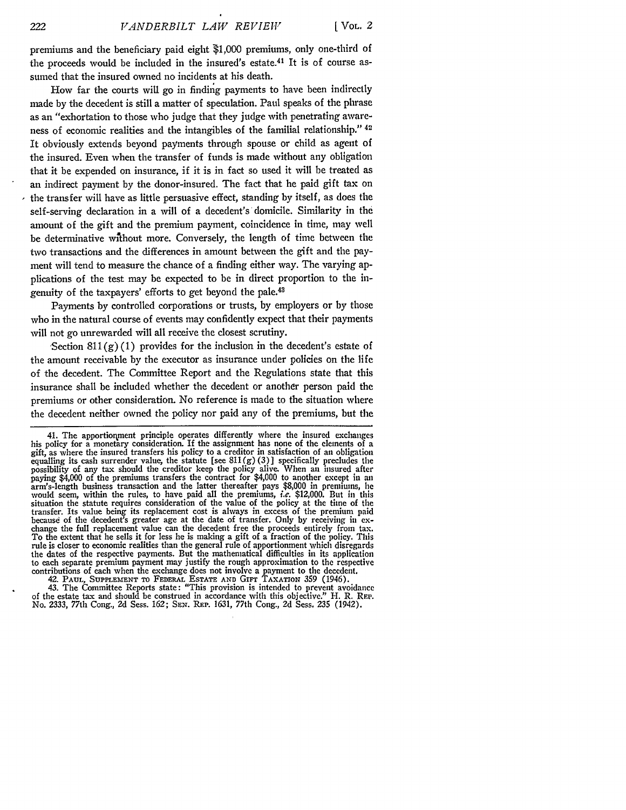premiums and the beneficiary paid eight **\$1,000** premiums, only one-third of the proceeds would be included in the insured's estate.41 It is of course assumed that the insured owned no incidents at his death.

How far the courts will go in finding payments to have been indirectly made by the decedent is still a matter of speculation. Paul speaks of the phrase as an "exhortation to those who judge that they judge with penetrating awareness of economic realities and the intangibles of the familial relationship." <sup>42</sup> It obviously extends beyond payments through spouse or child as agent of the insured. Even when the transfer of funds is made without any obligation that it be expended on insurance, if it is in fact so used it will be treated as an indirect payment by the donor-insured. The fact that he paid gift tax on the transfer will have as little persuasive effect, standing **by** itself, as does the self-serving declaration in a will of a decedent's domicile. Similarity in the amount of the gift and the premium payment, coincidence in time, may well be determinative without more. Conversely, the length of time between the two transactions and the differences in amount between the gift and the payment will tend to measure the chance of a finding either way. The varying applications of the test may be expected to be in direct proportion to the ingenuity of the taxpayers' efforts to get beyond the pale. <sup>43</sup>

Payments by controlled corporations or trusts, by employers or by those who in the natural course of events may confidently expect that their payments will not go unrewarded will all receive the closest scrutiny.

Section  $811(g)(1)$  provides for the inclusion in the decedent's estate of the amount receivable by the executor as insurance under policies on the life of the decedent. The Committee Report and the Regulations state that this insurance shall be included whether the decedent or another person paid the premiums or other consideration. No reference is made to the situation where the decedent neither owned the policy nor paid any of the premiums, but the

of the estate tax and should be construed in accordance with this objective." H. R. RFP. No. 2333, 77th Cong., 2d Sess. 162; SEr. RP. 1631, 77th Cong., 2d Sess. 235 (1942).

<sup>41.</sup> The apportionment principle operates differently where the insured exchanges his policy for a monetary consideration. If the assignment has none of the elements of a gift, as where the insured transfers his policy to a creditor in satisfaction of an obligation equalling its cash surrender value, the statute [see 811(g) (3)] specifically precludes the possibility of any tax should the creditor keep the policy alive. When an insured after paying \$4,000 of the premiums transfers the contract for \$4,000 to another except in an arm's-length business transaction and the latter thereafter pays \$8,000 in premiums, **lie** would seem, within the rules, to have paid all the premiums, i.e. \$12,000. But in this situation the statute requires consideration of the value of the policy at the time of the transfer. Its value being its replacement cost is always in excess of the premium paid because of the decedent's greater age at the date of transfer. Only by receiving in exchange the full replacement value can the decedent free the proceeds entirely from tax. To the extent that he sells it for less he is making a gift of a fraction of the policy. This rule is closer to economic realities than the general rule of apportionment which disregards the dates of the respective payments. But the mathematical difficulties in its application to each separate premium payment may justify the rough approximation to the respective Contributions of each when the exchange does not involve a payment to the decedent.<br>42. PAUL, SUPPLEMENT TO FEDERAL ESTATE AND GIFT TAXATION 359 (1946).<br>43. The Committee Reports state: "This provision is intended to preve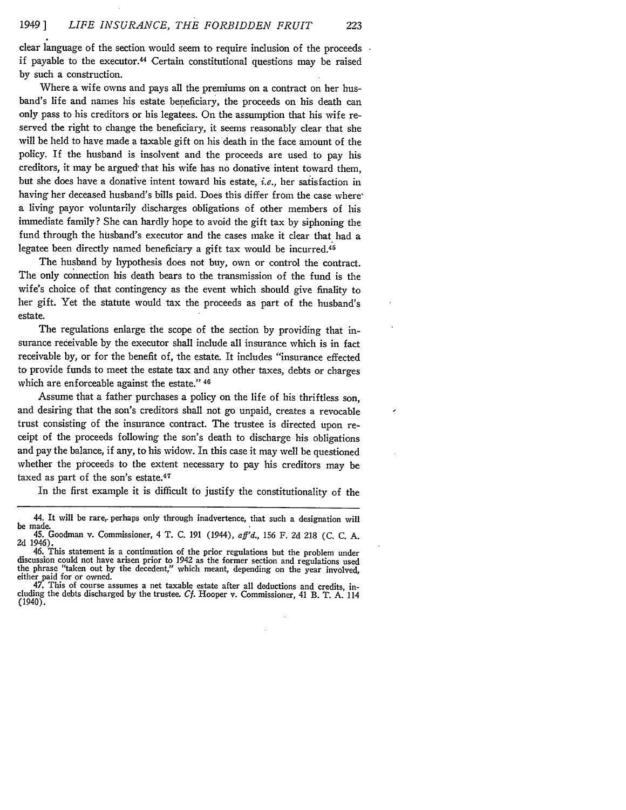clear language of the section would seem to require inclusion of the proceeds if payable to the executor.<sup>44</sup> Certain constitutional questions may be raised by such a construction.

Where a wife owns and pays all the premiums on a contract on her husband's life and names his estate beneficiary, the proceeds on his death can only pass to his creditors or his legatees. On the assumption that his wife reserved the right to change the beneficiary, it seems reasonably clear that she will be held to have made a taxable gift on his death in the face amount of the policy. If the husband is insolvent and the proceeds are used to pay his creditors, it may be argued that his wife has no donative intent toward them, but she does have a donative intent toward his estate, i.e., her satisfaction in having her deceased husband's bills paid. Does this differ from the case where' a living payor voluntarily discharges obligations of other members of his immediate family? She can hardly hope to avoid the gift tax by siphoning the fund through the husband's executor and the cases make it clear that had a legatee been directly named beneficiary a gift tax would be incurred.<sup>45</sup>

The husband by hypothesis does not buy, own or control the contract. The only connection his death bears to the transmission of the fund is the wife's choice of that contingency as the event which should give finality to her gift. Yet the statute would tax the proceeds as part of the husband's estate.

The regulations enlarge the scope of the section by providing that insurance receivable by the executor shall include all insurance which is in fact receivable by, or for the benefit of, the estate. It includes "insurance effected to provide funds to meet the estate tax and any other taxes, debts or charges which are enforceable against the estate." **<sup>46</sup>**

Assume that a father purchases a policy on the life of his thriftless son, and desiring that the son's creditors shall not go unpaid, creates a revocable trust consisting of the insurance contract. The trustee is directed upon receipt of the proceeds following the son's death to discharge his obligations and pay the balance, if any, to his widow. In this case it may well be questioned whether the proceeds to the extent necessary to pay his creditors may be taxed as part of the son's estate.<sup>47</sup>

In the first example it is difficult to justify the constitutionality of the

<sup>44.</sup> It will be rare, perhaps only through inadvertence, that such a designation will be made. 45. Goodman v. Commissioner, 4 T. **C.** 191 (1944), *aff'd.,* 156 F. 2d **218 (C. C. A.**

<sup>2</sup>d 1946).<br>46. This statement is a continuation of the prior regulations but the problem under<br>discussion could not have arisen prior to 1942 as the former section and regulations used<br>the phrase "taken out by the decedent, either paid for or owned.

<sup>47.</sup> This of course assumes a net taxable estate after all deductions and credits, including the debts discharged **by** the trustee. *Cf.* Hooper v. Commissioner, 41 B. T. A. 114 (1940).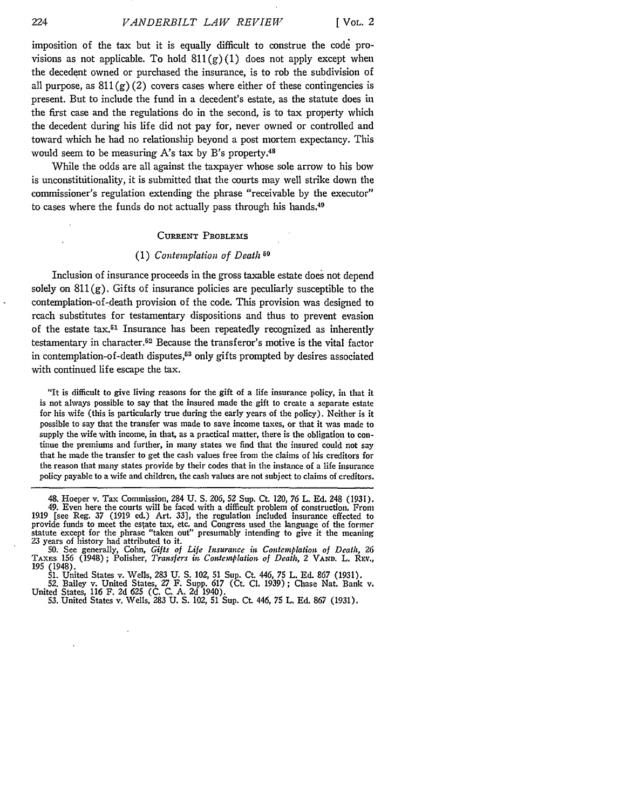imposition of the tax but it is equally difficult to construe the code provisions as not applicable. To hold  $811(g)(1)$  does not apply except when the decedent owned or purchased the insurance, is to rob the subdivision of all purpose, as  $811(g)(2)$  covers cases where either of these contingencies is present. But to include the fund in a decedent's estate, as the statute does in the first case and the regulations do in the second, is to tax property which the decedent during his life did not pay for, never owned or controlled and toward which he had no relationship beyond a post mortem expectancy. This would seem to be measuring A's tax by B's property.<sup>48</sup>

While the odds are all against the taxpayer whose sole arrow to his bow is unconstittitionality, it is submitted that the courts may well strike down the commissioner's regulation extending the phrase "receivable by the executor" to cases where the funds do not actually pass through his hands.<sup>40</sup>

### CURRENT PROBLEMS

## *(1) Contemplation of Death 50*

Inclusion of insurance proceeds in the gross taxable estate does not depend solely on  $811(g)$ . Gifts of insurance policies are peculiarly susceptible to the contemplation-of-death provision of the code. This provision was designed to reach substitutes for testamentary dispositions and thus to prevent evasion of the estate  $tax.^{51}$  Insurance has been repeatedly recognized as inherently testamentary in character.<sup>52</sup> Because the transferor's motive is the vital factor in contemplation-of-death disputes,<sup>53</sup> only gifts prompted by desires associated with continued life escape the tax.

"It is difficult to give living reasons for the gift of a life insurance policy, in that it is not always possible to say that the insured made the gift to create a separate estate for his wife (this is particularly true during the early years of the policy). Neither is it possible to say that the transfer was made to save income taxes, or that it was made to supply the wife with income, in that, as a practical matter, there is the obligation to continue the premiums and further, in many states we find that the insured could not say that he made the transfer to get the cash values free from the claims of his creditors for the reason that many states provide by their codes that in the instance of a life insurance policy payable to a wife and children, the cash values are not subject to claims of creditors.

48. Hoeper v. Tax Commission, 284 U. S. 206, 52 Sup. Ct. 120, 76 L. **Ed.** 248 (1931). 49. Even here the courts will be faced with a difficult problem of construction. From 1919 [see Reg. **37** (1919 ed.) Art. 33], the regulation included insurance effected to provide funds to meet the estate tax, etc. and Congress used the language of the former statute except for the phrase "taken out" presumably intending to give it the meaning **23** years of history had attributed to it. 50. See generally, Cohn, *Gifts of Life Insurance in Contemplation of Death, 26*

TAxEs 156 (1948); Polisher, *Transfers in Contemplation of Death,* 2 **VAND.** L. Rsv., 195 (1948).

51. United States v. Wells, 283 U. S. 102, 51 Sup. Ct. 446, 75 L. Ed. 867 (1931).<br>52. Bailey v. United States, 27 F. Supp. 617 (Ct. Cl. 1939); Chase Nat. Bank v.<br>United States, 116 F. 2d 625 (C. C. A. 2d 1940).<br>53. United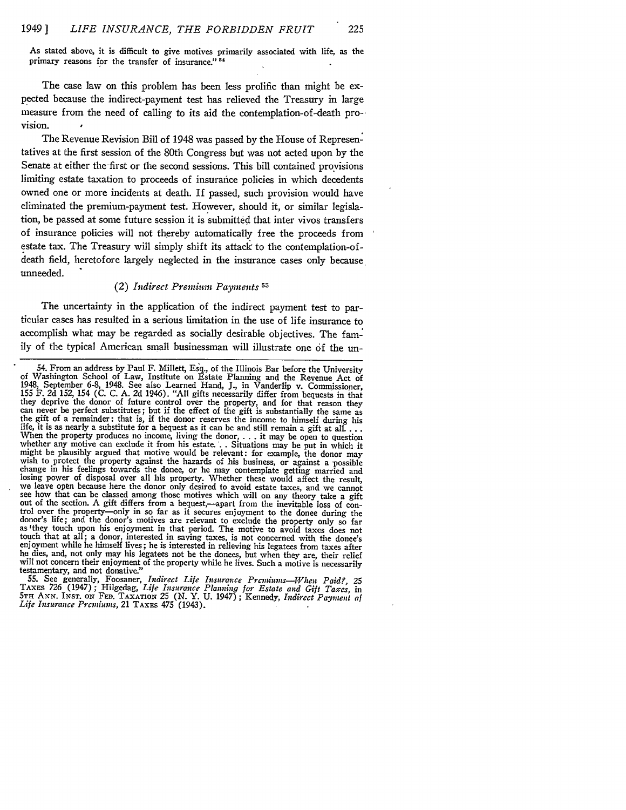As stated above, it is difficult to give motives primarily associated with life, as the primary reasons for the transfer of insurance."<sup>54</sup>

The case law on this problem has been less prolific than might be expected because the indirect-payment test has relieved the Treasury in large measure from the need of calling to its aid the contemplation-of-death pro- vision.

The Revenue Revision Bill of 1948 was passed **by** the House of Representatives at the first session of the 80th Congress but was not acted upon **by** the Senate at either the first or the second sessions. This bill contained provisions limiting estate taxation to proceeds of insurance policies in which decedents owned one or more incidents at death. If passed, such provision would have eliminated the premium-payment test. However, should it, or similar legislation, be passed at some future session it is submitted that inter vivos transfers of insurance policies will not thereby automatically free the proceeds from estate tax. The Treasury will simply shift its attack to the contemplation-ofdeath field, heretofore largely neglected in the insurance cases only because unneeded.

#### (2) *Indirect Premium Payments* **<sup>55</sup>**

The uncertainty in the application of the indirect payment test to particular cases has resulted in a serious limitation in the use of life insurance to accomplish what may be regarded as socially desirable objectives. The family of the typical American small businessman will illustrate one **of** the un-

**55.** See generally, Foosaner, *Indirect Life Insurance Preniunis-When Paid?,* **<sup>25</sup>** TAXEs *726* (1947); Hilgedag, *Life Insurance Planning for Estate and Gift Taxes,* in **5TH** ANN. INsT. ON FED. TAXATION 25 *(N.* Y. U. 1947) ; Kennedy, *Indirect Payment of Life Insurance Prendiums,* 21 TAXFS 475 (1943).

<sup>54.</sup> From an address by Paul F. Millett, Esq., of the Illinois Bar before the University of Washington School of Law, Institute on Estate Planning and the Revenue Act of 1948, September **6-8,** 1948. See also Learned Hand, **J.,** in Vanderlip v. Commissioner, **155** F. **2d 152,** 154 **(C. C. A. 2d** 1946). **"All** gifts necessarily differ from bequests in that For the denote the donor of future control over the property, and for that reason they<br>can never be perfect substitutes; but if the effect of the gift is substantially the same as<br>the gift of a remainder: that is, if the d life, it is as nearly a substitute for a bequest as it can be and still remain a gift at **all....** When the property produces no income, living the donor, ... it may be open to question whether any motive can exclude it from his estate... Situations may be put in which it might be plausibly argued that motive would be r wish to protect the property against the hazards of his business, or against a possible change in his feelings towards the donee, or he may contemplate getting married and losing power of disposal over all his property. Wh we leave open because here the donor only desired to avoid estate taxes, and we cannot see how that can be classed among those motives which will on any theory take a gift out of the section. A gift differs from a bequest,--apart from the inevitable loss of control over the property-only in so far as it secures enjoyment to the donee during the donor's life; and the donor's motives are relevant to exclude the property only so far as 'they touch upon his enjoyment in that period. The motive to avoid taxes does not touch that at all; a donor, interested in saving taxes, is not concerned with the donee's enjoyment while he himself lives; he is interested in relieving his legatees from taxes after he dies, and, not only may his legatees not be the donees, but when they are, their relief will not concern their enjoyment of the property while he lives. Such a motive is necessarily testamentary, and not donative."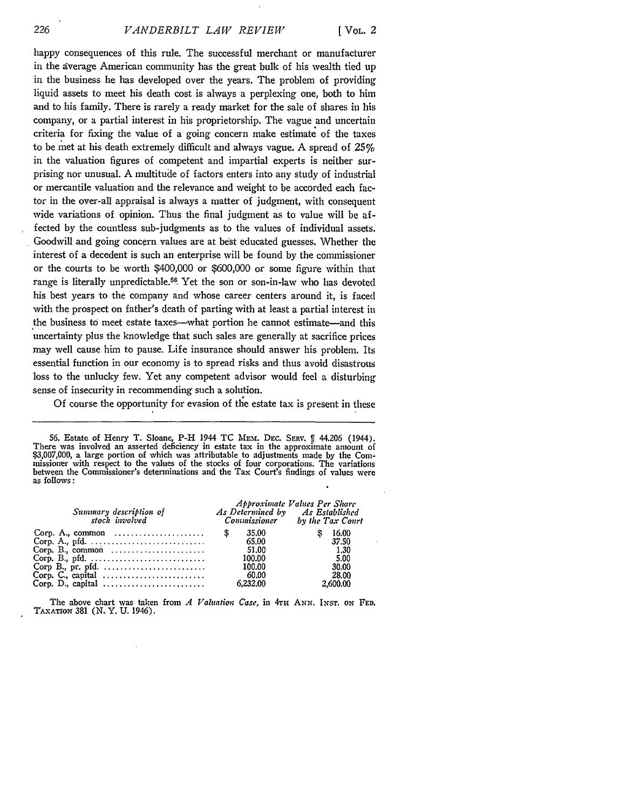happy consequences of this rule. The successful merchant or manufacturer in the average American community has the great bulk of his wealth tied tip in the business he has developed over the years. The problem of providing liquid assets to meet his death cost is always a perplexing one, both to him and to his family. There is rarely a ready market for the sale of shares in his company, or a partial interest in his proprietorship. The vague and uncertain criteria for fixing the value of a going concern make estimate of the taxes to be met at his death extremely difficult and always vague. A spread of **25%** in the valuation figures of competent and impartial experts is neither surprising nor unusual. A multitude of factors enters into any study of industrial or mercantile valuation and the relevance and weight to be accorded each factor in the over-all appraisal is always a matter of judgment, with consequent wide variations of opinion. Thus the final judgment as to value will be affected by the countless sub-judgments as to the values of individual assets. Goodwill and going concern values are at best educated guesses. Whether the interest of a decedent is such an enterprise will be found by the commissioner or the courts to be worth \$400,000 or \$600,000 or some figure within that range is literally unpredictable.<sup>56</sup> Yet the son or son-in-law who has devoted his best years to the company and whose career centers around it, is faced with the prospect on father's death of parting with at least a partial interest in the business to meet estate taxes--what portion he cannot estimate-and this uncertainty plus the knowledge that such sales are generally at sacrifice prices may well cause him to pause. Life insurance should answer his problem. Its essential function in our economy is to spread risks and thus avoid disastrous loss to the unlucky few. Yet any competent advisor would feel a disturbing sense of insecurity in recommending such a solution.

Of course the opportunity for evasion of the estate tax is present in these

56. Estate of Henry T. Sloane, P-H 1944 TC **MEm.** DEc. SEmv. **ff** 44.206 (1944). There was involved an asserted deficiency in estate tax in the approximate amount of \$3,007,000, a large portion of which was attributable to adjustments made by the Commissioner with respect to the values of the stocks of four corporations. The variations between the Commissioner's determinations and the Tax Court's findings of values were as follows:

| Summary description of<br>stock involved                                                                                                                                                                                                                                             | As Determined by As Established                        | Approximate Values Per Share<br>Commissioner by the Tax Court |
|--------------------------------------------------------------------------------------------------------------------------------------------------------------------------------------------------------------------------------------------------------------------------------------|--------------------------------------------------------|---------------------------------------------------------------|
| Corp. A., common $\ldots \ldots \ldots \ldots \ldots$ \$<br>Corp. A., pfd. $\dots \dots \dots \dots \dots \dots \dots \dots \dots \dots$<br>Corp. B., common $\dots \dots \dots \dots \dots \dots \dots$<br>Corp. B., pfd. $\dots\dots\dots\dots\dots\dots\dots\dots\dots\dots\dots$ | 35.00<br>65.00<br>51.00<br>100.00<br>100.00<br>- 60.00 | 16.00<br>37.50<br>1.30<br>5.00<br>30.00<br>28.00              |
| Corp. D., capital $\ldots, \ldots, \ldots, \ldots, \ldots, \ldots$                                                                                                                                                                                                                   | 6.232.00                                               | 2,600.00                                                      |

The above chart was taken from *A Valuation Case,* in **4TH ANN.** INST. ON **FED, TAxATION** 381 **(N.** Y. **U.** 1946).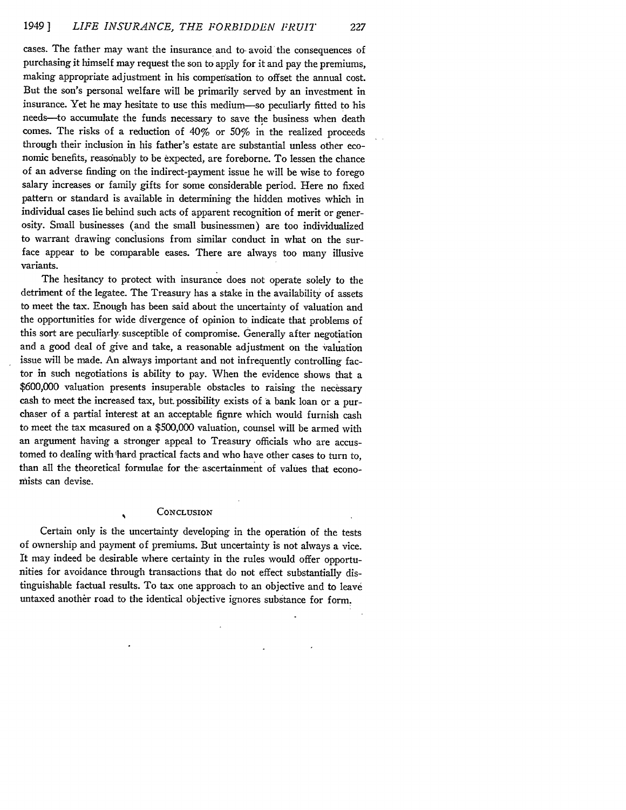cases. The father may want the insurance and to-avoid the consequences of purchasing it himself may request the son to apply for it and pay the premiums, making appropriate adjustment in his compensation to offset the annual cost. But the son's personal welfare will be primarily served by an investment in insurance. Yet he may hesitate to use this medium-so peculiarly fitted to his needs-to accumulate the funds necessary to save the business when death comes. The risks of a reduction of 40% or *50%* in the realized proceeds through their inclusion in his father's estate are substantial unless other economic benefits, reascinably to be expected, are foreborne. To lessen the chance of an adverse finding on the indirect-payment issue he will be wise to forego salary increases or family gifts for some considerable period. Here no fixed pattern or standard is available in determining the hidden motives which in individual cases lie behind such acts of apparent recognition of merit or generosity. Small businesses (and the small businessmen) are too individualized to warrant drawing conclusions from similar conduct in what on the surface appear to be comparable cases. There are always too many illusive variants.

The hesitancy to protect with insurance does not operate solely to the detriment of the legatee. The Treasury has a stake in the availability of assets to meet the tax. Enough has been said about the uncertainty of valuation and the opportunities for wide divergence of opinion to indicate that problems of this sort are peculiarly- susceptible of compromise. Generally after negotiation and a good deal of give and take, a reasonable adjustment on the valuation issue will be made. An always important and not infrequently controlling factor in such negotiations is ability to pay. When the evidence shows that a \$600,000 valuation presents insuperable obstacles to raising the necessary cash to meet the increased tax, but possibility exists of a bank loan or a purchaser of a partial interest at an acceptable figure which would furnish cash to meet the tax measured on a \$500,000 valuation, counsel will be armed with an argument having a stronger appeal to Treasury officials who are accustomed to dealing with hard practical facts and who have other cases to turn to, than all the theoretical formulae for the- ascertainment of values that economists can devise.

### **CONCLUSION**

Certain only is the uncertainty developing in the operation of the tests of ownership and payment of premiums. But uncertainty is not always a vice. It may indeed be desirable where certainty in the rules would offer opportunities for avoidance through transactions that do not effect substantially distinguishable factual results. To tax one approach to an objective and to leave untaxed another road to the identical objective ignores substance for form.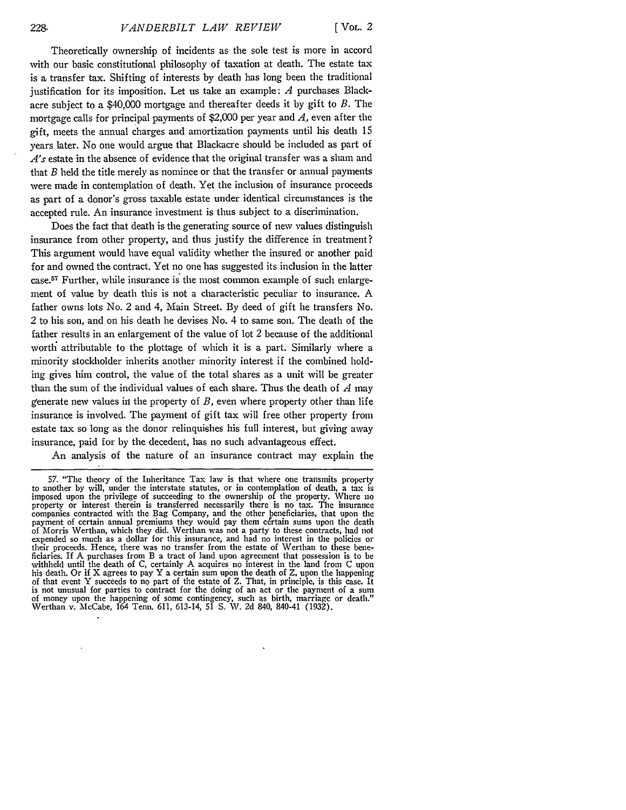Theoretically ownership of incidents as the sole test is more in accord with our basic constitutional philosophy of taxation at death. The estate tax is a, transfer tax. Shifting of interests **by** death has long been the traditional justification for its imposition. Let us take an example:  $A$  purchases Blackacre subject to a \$40,000 mortgage and thereafter deeds it **by** gift to *B.* The mortgage calls **for** principal payments of \$2,000 per year and *A,* even after the gift, meets the annual charges and amortization payments until his death 15 years later. No one would argue that Blackacre should be included as part of *A's* estate in the absence of evidence that the original transfer was a sham and that *B* held the title merely as nominee or that the transfer or annual payments were made in contemplation of death. Yet the inclusion of insurance proceeds as part of a donor's gross taxable estate under identical circumstances is the accepted rule. An insurance investment is thus subject to a discrimination.

Does the fact that death is the generating source of new values distinguish insurance from other property, and thus justify the difference in treatment? This argument would have equal validity whether the insured or another paid for and owned the contract. Yet no one has suggested its inclusion in the latter case. 57 Further, while insurance is the most common example of such enlargement of value **by** death this is not a characteristic peculiar to insurance. A father owns lots No. 2 and 4, Main Street. **By** deed of gift he transfers No. 2 to his son, and on his death he devises No. 4 to same son. The death of the father results in an enlargement of the value of lot 2 because of the additional worth attributable to the plottage of which it is a part. Similarly where a minority stockholder inherits another minority interest if the combined holding gives him control, the value of the total shares as a unit will be greater than the sum of the individual values of each share. Thus the death of *A* may generate new values **in** the property of *B,* even where property other than life insurance is involved. The payment of gift tax will free other property from estate tax so long as the donor relinquishes his full interest, but giving away insurance, paid for by the decedent, has no such advantageous effect.

An analysis of the nature of an insurance contract may explain the

<sup>57. &</sup>quot;The theory of the Inheritance Tax law is that where one transmits property to another by will, under the interstate statutes, or in contemplation of death, a tax is property or interest therein is transferred necessarily there is no tax. The insurance companies contracted with the Bag Company, and the other beneficiaries, that upon the payment of certain annual premiums they would pay them certain sums upon the death of Morris Werthan, which they did. Werthan was not a party to these contracts, had not expended so much as a dollar for this insurance, and had no interest in the policies or their proceeds. Hence, there was no transfer from the estate of Werthan to these beneficiaries. If A purchases from B a tract of land upon agreement that possession is to be withheld until the death of C, certainly A acquires no interest in the land from C upon his death. Or if X agrees to pay Y a certain sum upon the death of **Z,** upon the happening of that event Y succeeds to no part of the estate of Z. That, in principle, is this case. It is not unusual for parties to contract for the doing of an act or the payment of a **sum** of money upon the happening of some contingency, such as birth, marriage or death." Werthan v. McCabe, 164 Tenn. 611, 613-14, 51 S. W. 2d 840, 840-41 (1932).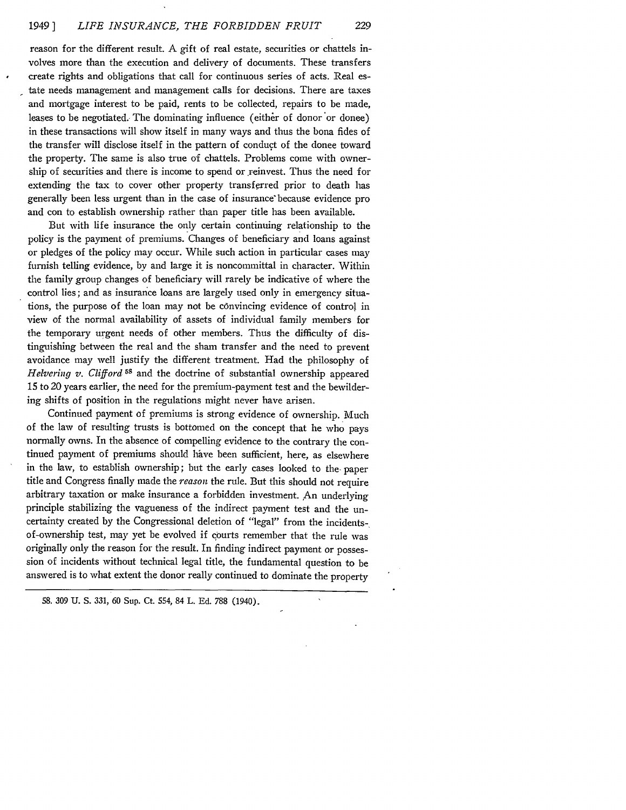reason for the different result. A gift of real estate, securities or chattels involves more than the execution and delivery of documents. These transfers create rights and obligations that call for continuous series of acts. Real estate needs management and management calls for decisions. There are taxes and mortgage interest to be paid, rents to be collected, repairs to be made, leases to be negotiated. The dominating influence (either of donor or donee) in these transactions will show itself in many ways and thus the bona fides of the transfer will disclose itself in the pattern of conduct of the donee toward the property. The same is also true of chattels. Problems come with ownership of securities and there is income to spend or reinvest. Thus the need for extending the tax to cover other property transferred prior to death has generally been less urgent than in the case of insurance because evidence pro and con to establish ownership rather than paper title has been available.

But with life insurance the only certain continuing relationship to the policy is the payment of premiums. Changes of beneficiary and loans against or pledges of the policy may occur. While such action in particular cases may furnish telling evidence, by and large it is noncommittal in character. Within the family group changes of beneficiary will rarely be indicative of where the control lies; and as insurance loans are largely used only in emergency situations, the purpose of the loan may not be convincing evidence of control in view of the normal availability of assets of individual family members for the temporary urgent needs of other members. Thus the difficulty of distinguishing between the real and the sham transfer and the need to prevent avoidance may well justify the different treatment. Had the philosophy of *Helvering v. Clifford* <sup>58</sup> and the doctrine of substantial ownership appeared **15** to 20 years earlier, the need for the premium-payment test and the bewildering shifts of position in the regulations might never have arisen.

Continued payment of premiums is strong evidence of ownership. Much of the law of resulting trusts is bottomed on the concept that he who pays normally owns. In the absence of compelling evidence to the contrary the continued payment of premiums should hive been sufficient, here, as elsewhere in the law, to establish ownership; but the early cases looked to the paper title and Congress finally made the reason the rule. But this should not require arbitrary taxation or make insurance a forbidden investment. An underlying principle stabilizing the vagueness of the indirect payment test and the uncertainty created **by** the Congressional deletion of "legal" from the incidentsof-ownership test, may yet be evolved if courts remember that the rule was originally only the reason for the result. In finding indirect payment or possession of incidents without technical legal title, the fundamental question to be answered is to what extent the donor really continued to dominate the property

**58.** 309 **U. S.** 331, 60 Sup. Ct. 554, 84 L. **Ed.** 788 (1940).